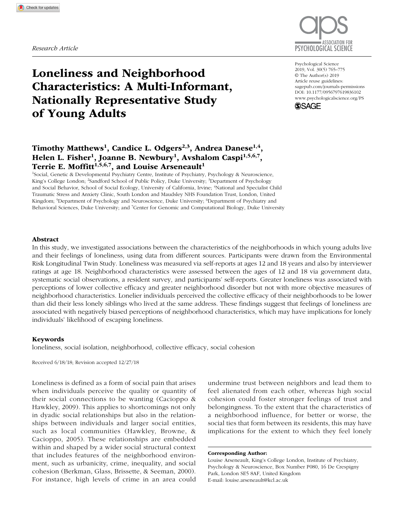

# Loneliness and Neighborhood Characteristics: A Multi-Informant, Nationally Representative Study of Young Adults

DOI: 10.1177/0956797619836102 Psychological Science 2019, Vol. 30(5) 765–775 © The Author(s) 2019 Article reuse guidelines: [sagepub.com/journals-permissions](https://sagepub.com/journals-permissions) [www.psychologicalscience.org/PS](http://www.psychologicalscience.org/ps)



# Timothy Matthews<sup>1</sup>, Candice L. Odgers<sup>2,3</sup>, Andrea Danese<sup>1,4</sup>, Helen L. Fisher<sup>1</sup>, Joanne B. Newbury<sup>1</sup>, Avshalom Caspi<sup>1,5,6,7</sup>, Terrie E. Moffitt<sup>1,5,6,7</sup>, and Louise Arseneault<sup>1</sup>

1 Social, Genetic & Developmental Psychiatry Centre, Institute of Psychiatry, Psychology & Neuroscience, King's College London; <sup>2</sup>Sandford School of Public Policy, Duke University; <sup>3</sup>Department of Psychology and Social Behavior, School of Social Ecology, University of California, Irvine; <sup>4</sup>National and Specialist Child Traumatic Stress and Anxiety Clinic, South London and Maudsley NHS Foundation Trust, London, United Kingdom; 5 Department of Psychology and Neuroscience, Duke University; 6 Department of Psychiatry and Behavioral Sciences, Duke University; and <sup>7</sup>Center for Genomic and Computational Biology, Duke University

### Abstract

In this study, we investigated associations between the characteristics of the neighborhoods in which young adults live and their feelings of loneliness, using data from different sources. Participants were drawn from the Environmental Risk Longitudinal Twin Study. Loneliness was measured via self-reports at ages 12 and 18 years and also by interviewer ratings at age 18. Neighborhood characteristics were assessed between the ages of 12 and 18 via government data, systematic social observations, a resident survey, and participants' self-reports. Greater loneliness was associated with perceptions of lower collective efficacy and greater neighborhood disorder but not with more objective measures of neighborhood characteristics. Lonelier individuals perceived the collective efficacy of their neighborhoods to be lower than did their less lonely siblings who lived at the same address. These findings suggest that feelings of loneliness are associated with negatively biased perceptions of neighborhood characteristics, which may have implications for lonely individuals' likelihood of escaping loneliness.

### Keywords

loneliness, social isolation, neighborhood, collective efficacy, social cohesion

Received 6/18/18; Revision accepted 12/27/18

Loneliness is defined as a form of social pain that arises when individuals perceive the quality or quantity of their social connections to be wanting (Cacioppo & Hawkley, 2009). This applies to shortcomings not only in dyadic social relationships but also in the relationships between individuals and larger social entities, such as local communities (Hawkley, Browne, & Cacioppo, 2005). These relationships are embedded within and shaped by a wider social structural context that includes features of the neighborhood environment, such as urbanicity, crime, inequality, and social cohesion (Berkman, Glass, Brissette, & Seeman, 2000). For instance, high levels of crime in an area could

undermine trust between neighbors and lead them to feel alienated from each other, whereas high social cohesion could foster stronger feelings of trust and belongingness. To the extent that the characteristics of a neighborhood influence, for better or worse, the social ties that form between its residents, this may have implications for the extent to which they feel lonely

Corresponding Author:

Louise Arseneault, King's College London, Institute of Psychiatry, Psychology & Neuroscience, Box Number P080, 16 De Crespigny Park, London SE5 8AF, United Kingdom E-mail: [louise.arseneault@kcl.ac.uk](mailto:louise.arseneault@kcl.ac.uk)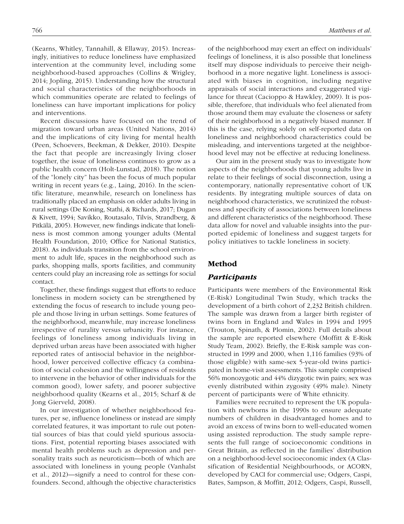(Kearns, Whitley, Tannahill, & Ellaway, 2015). Increasingly, initiatives to reduce loneliness have emphasized intervention at the community level, including some neighborhood-based approaches (Collins & Wrigley, 2014; Jopling, 2015). Understanding how the structural and social characteristics of the neighborhoods in which communities operate are related to feelings of loneliness can have important implications for policy and interventions.

Recent discussions have focused on the trend of migration toward urban areas (United Nations, 2014) and the implications of city living for mental health (Peen, Schoevers, Beekman, & Dekker, 2010). Despite the fact that people are increasingly living closer together, the issue of loneliness continues to grow as a public health concern (Holt-Lunstad, 2018). The notion of the "lonely city" has been the focus of much popular writing in recent years (e.g., Laing, 2016). In the scientific literature, meanwhile, research on loneliness has traditionally placed an emphasis on older adults living in rural settings (De Koning, Stathi, & Richards, 2017; Dugan & Kivett, 1994; Savikko, Routasalo, Tilvis, Strandberg, & Pitkälä, 2005). However, new findings indicate that loneliness is most common among younger adults (Mental Health Foundation, 2010; Office for National Statistics, 2018). As individuals transition from the school environment to adult life, spaces in the neighborhood such as parks, shopping malls, sports facilities, and community centers could play an increasing role as settings for social contact.

Together, these findings suggest that efforts to reduce loneliness in modern society can be strengthened by extending the focus of research to include young people and those living in urban settings. Some features of the neighborhood, meanwhile, may increase loneliness irrespective of rurality versus urbanicity. For instance, feelings of loneliness among individuals living in deprived urban areas have been associated with higher reported rates of antisocial behavior in the neighborhood, lower perceived collective efficacy (a combination of social cohesion and the willingness of residents to intervene in the behavior of other individuals for the common good), lower safety, and poorer subjective neighborhood quality (Kearns et al., 2015; Scharf & de Jong Gierveld, 2008).

In our investigation of whether neighborhood features, per se, influence loneliness or instead are simply correlated features, it was important to rule out potential sources of bias that could yield spurious associations. First, potential reporting biases associated with mental health problems such as depression and personality traits such as neuroticism—both of which are associated with loneliness in young people (Vanhalst et al., 2012)—signify a need to control for these confounders. Second, although the objective characteristics of the neighborhood may exert an effect on individuals' feelings of loneliness, it is also possible that loneliness itself may dispose individuals to perceive their neighborhood in a more negative light. Loneliness is associated with biases in cognition, including negative appraisals of social interactions and exaggerated vigilance for threat (Cacioppo & Hawkley, 2009). It is possible, therefore, that individuals who feel alienated from those around them may evaluate the closeness or safety of their neighborhood in a negatively biased manner. If this is the case, relying solely on self-reported data on loneliness and neighborhood characteristics could be misleading, and interventions targeted at the neighborhood level may not be effective at reducing loneliness.

Our aim in the present study was to investigate how aspects of the neighborhoods that young adults live in relate to their feelings of social disconnection, using a contemporary, nationally representative cohort of UK residents. By integrating multiple sources of data on neighborhood characteristics, we scrutinized the robustness and specificity of associations between loneliness and different characteristics of the neighborhood. These data allow for novel and valuable insights into the purported epidemic of loneliness and suggest targets for policy initiatives to tackle loneliness in society.

# Method

# *Participants*

Participants were members of the Environmental Risk (E-Risk) Longitudinal Twin Study, which tracks the development of a birth cohort of 2,232 British children. The sample was drawn from a larger birth register of twins born in England and Wales in 1994 and 1995 (Trouton, Spinath, & Plomin, 2002). Full details about the sample are reported elsewhere (Moffitt & E-Risk Study Team, 2002). Briefly, the E-Risk sample was constructed in 1999 and 2000, when 1,116 families (93% of those eligible) with same-sex 5-year-old twins participated in home-visit assessments. This sample comprised 56% monozygotic and 44% dizygotic twin pairs; sex was evenly distributed within zygosity (49% male). Ninety percent of participants were of White ethnicity.

Families were recruited to represent the UK population with newborns in the 1990s to ensure adequate numbers of children in disadvantaged homes and to avoid an excess of twins born to well-educated women using assisted reproduction. The study sample represents the full range of socioeconomic conditions in Great Britain, as reflected in the families' distribution on a neighborhood-level socioeconomic index (A Classification of Residential Neighbourhoods, or ACORN, developed by CACI for commercial use; Odgers, Caspi, Bates, Sampson, & Moffitt, 2012; Odgers, Caspi, Russell,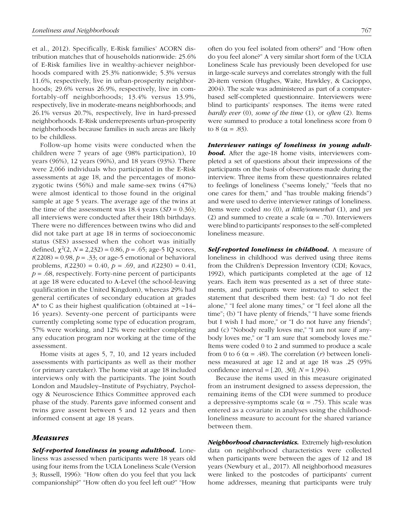et al., 2012). Specifically, E-Risk families' ACORN distribution matches that of households nationwide: 25.6% of E-Risk families live in wealthy-achiever neighborhoods compared with 25.3% nationwide; 5.3% versus 11.6%, respectively, live in urban-prosperity neighborhoods; 29.6% versus 26.9%, respectively, live in comfortably-off neighborhoods; 13.4% versus 13.9%, respectively, live in moderate-means neighborhoods; and 26.1% versus 20.7%, respectively, live in hard-pressed neighborhoods. E-Risk underrepresents urban-prosperity neighborhoods because families in such areas are likely to be childless.

Follow-up home visits were conducted when the children were 7 years of age (98% participation), 10 years (96%), 12 years (96%), and 18 years (93%). There were 2,066 individuals who participated in the E-Risk assessments at age 18, and the percentages of monozygotic twins (56%) and male same-sex twins (47%) were almost identical to those found in the original sample at age 5 years. The average age of the twins at the time of the assessment was  $18.4$  years  $(SD = 0.36)$ ; all interviews were conducted after their 18th birthdays. There were no differences between twins who did and did not take part at age 18 in terms of socioeconomic status (SES) assessed when the cohort was initially defined,  $\chi^2(2, N = 2,232) = 0.86$ ,  $p = .65$ ; age-5 IQ scores,  $t(2208) = 0.98$ ,  $p = 0.33$ ; or age-5 emotional or behavioral problems,  $t(2230) = 0.40$ ,  $p = .69$ , and  $t(2230) = 0.41$ ,  $p = .68$ , respectively. Forty-nine percent of participants at age 18 were educated to A-Level (the school-leaving qualification in the United Kingdom), whereas 29% had general certificates of secondary education at grades  $A^*$  to C as their highest qualification (obtained at  $\sim$ 14– 16 years). Seventy-one percent of participants were currently completing some type of education program, 57% were working, and 12% were neither completing any education program nor working at the time of the assessment.

Home visits at ages 5, 7, 10, and 12 years included assessments with participants as well as their mother (or primary caretaker). The home visit at age 18 included interviews only with the participants. The joint South London and Maudsley–Institute of Psychiatry, Psychology & Neuroscience Ethics Committee approved each phase of the study. Parents gave informed consent and twins gave assent between 5 and 12 years and then informed consent at age 18 years.

#### *Measures*

*Self-reported loneliness in young adulthood.* Loneliness was assessed when participants were 18 years old using four items from the UCLA Loneliness Scale (Version 3; Russell, 1996): "How often do you feel that you lack companionship?" "How often do you feel left out?" "How

often do you feel isolated from others?" and "How often do you feel alone?" A very similar short form of the UCLA Loneliness Scale has previously been developed for use in large-scale surveys and correlates strongly with the full 20-item version (Hughes, Waite, Hawkley, & Cacioppo, 2004). The scale was administered as part of a computerbased self-completed questionnaire. Interviewers were blind to participants' responses. The items were rated *hardly ever* (0), *some of the time* (1), or *often* (2). Items were summed to produce a total loneliness score from 0 to 8 ( $\alpha$  = .83).

*Interviewer ratings of loneliness in young adulthood.* After the age-18 home visits, interviewers completed a set of questions about their impressions of the participants on the basis of observations made during the interview. Three items from these questionnaires related to feelings of loneliness ("seems lonely," "feels that no one cares for them," and "has trouble making friends") and were used to derive interviewer ratings of loneliness. Items were coded *no* (0), *a little/somewhat* (1), and *yes* (2) and summed to create a scale ( $\alpha$  = .70). Interviewers were blind to participants' responses to the self-completed loneliness measure.

*Self-reported loneliness in childhood.* A measure of loneliness in childhood was derived using three items from the Children's Depression Inventory (CDI; Kovacs, 1992), which participants completed at the age of 12 years. Each item was presented as a set of three statements, and participants were instructed to select the statement that described them best: (a) "I do not feel alone," "I feel alone many times," or "I feel alone all the time"; (b) "I have plenty of friends," "I have some friends but I wish I had more," or "I do not have any friends"; and (c) "Nobody really loves me," "I am not sure if anybody loves me," or "I am sure that somebody loves me." Items were coded 0 to 2 and summed to produce a scale from 0 to 6 ( $\alpha$  = .48). The correlation (*r*) between loneliness measured at age 12 and at age 18 was .25 (95% confidence interval = [.20, .30]; *N* = 1,994).

Because the items used in this measure originated from an instrument designed to assess depression, the remaining items of the CDI were summed to produce a depressive-symptoms scale ( $\alpha$  = .75). This scale was entered as a covariate in analyses using the childhoodloneliness measure to account for the shared variance between them.

*Neighborhood characteristics.* Extremely high-resolution data on neighborhood characteristics were collected when participants were between the ages of 12 and 18 years (Newbury et al., 2017). All neighborhood measures were linked to the postcodes of participants' current home addresses, meaning that participants were truly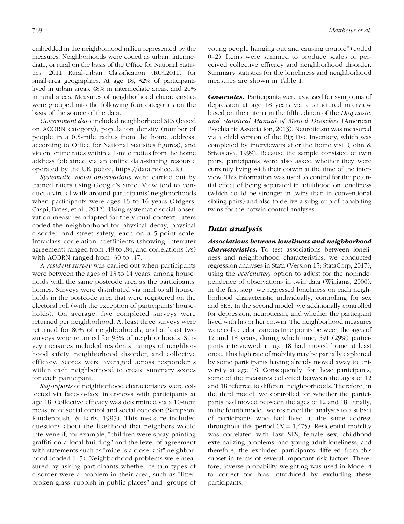embedded in the neighborhood milieu represented by the measures. Neighborhoods were coded as urban, intermediate, or rural on the basis of the Office for National Statistics' 2011 Rural-Urban Classification (RUC2011) for small-area geographies. At age 18, 32% of participants lived in urban areas, 48% in intermediate areas, and 20% in rural areas. Measures of neighborhood characteristics were grouped into the following four categories on the basis of the source of the data.

*Government data* included neighborhood SES (based on ACORN category), population density (number of people in a 0.5-mile radius from the home address, according to Office for National Statistics figures), and violent crime rates within a 1-mile radius from the home address (obtained via an online data-sharing resource operated by the UK police; [https://data.police.uk\)](https://data.police.uk).

*Systematic social observations* were carried out by trained raters using Google's Street View tool to conduct a virtual walk around participants' neighborhoods when participants were ages 15 to 16 years (Odgers, Caspi, Bates, et al., 2012). Using systematic social observation measures adapted for the virtual context, raters coded the neighborhood for physical decay, physical disorder, and street safety, each on a 5-point scale. Intraclass correlation coefficients (showing interrater agreement) ranged from .48 to .84, and correlations (*r*s) with ACORN ranged from .30 to .47.

A *resident survey* was carried out when participants were between the ages of 13 to 14 years, among households with the same postcode area as the participants' homes. Surveys were distributed via mail to all households in the postcode area that were registered on the electoral roll (with the exception of participants' households). On average, five completed surveys were returned per neighborhood. At least three surveys were returned for 80% of neighborhoods, and at least two surveys were returned for 95% of neighborhoods. Survey measures included residents' ratings of neighborhood safety, neighborhood disorder, and collective efficacy. Scores were averaged across respondents within each neighborhood to create summary scores for each participant.

*Self-reports* of neighborhood characteristics were collected via face-to-face interviews with participants at age 18. Collective efficacy was determined via a 10-item measure of social control and social cohesion (Sampson, Raudenbush, & Earls, 1997). This measure included questions about the likelihood that neighbors would intervene if, for example, "children were spray-painting graffiti on a local building" and the level of agreement with statements such as "mine is a close-knit" neighborhood (coded 1-5). Neighborhood problems were measured by asking participants whether certain types of disorder were a problem in their area, such as "litter, broken glass, rubbish in public places" and "groups of young people hanging out and causing trouble" (coded 0–2). Items were summed to produce scales of perceived collective efficacy and neighborhood disorder. Summary statistics for the loneliness and neighborhood measures are shown in Table 1.

*Covariates.* Participants were assessed for symptoms of depression at age 18 years via a structured interview based on the criteria in the fifth edition of the *Diagnostic and Statistical Manual of Mental Disorders* (American Psychiatric Association, 2013). Neuroticism was measured via a child version of the Big Five Inventory, which was completed by interviewers after the home visit (John & Srivastava, 1999). Because the sample consisted of twin pairs, participants were also asked whether they were currently living with their cotwin at the time of the interview. This information was used to control for the potential effect of being separated in adulthood on loneliness (which could be stronger in twins than in conventional sibling pairs) and also to derive a subgroup of cohabiting twins for the cotwin control analyses.

# *Data analysis*

*Associations between loneliness and neighborhood characteristics.* To test associations between loneliness and neighborhood characteristics, we conducted regression analyses in Stata (Version 15; StataCorp, 2017), using the *vce(cluster)* option to adjust for the nonindependence of observations in twin data (Williams, 2000). In the first step, we regressed loneliness on each neighborhood characteristic individually, controlling for sex and SES. In the second model, we additionally controlled for depression, neuroticism, and whether the participant lived with his or her cotwin. The neighborhood measures were collected at various time points between the ages of 12 and 18 years, during which time, 591 (29%) participants interviewed at age 18 had moved home at least once. This high rate of mobility may be partially explained by some participants having already moved away to university at age 18. Consequently, for these participants, some of the measures collected between the ages of 12 and 18 referred to different neighborhoods. Therefore, in the third model, we controlled for whether the participants had moved between the ages of 12 and 18. Finally, in the fourth model, we restricted the analyses to a subset of participants who had lived at the same address throughout this period  $(N = 1,475)$ . Residential mobility was correlated with low SES, female sex, childhood externalizing problems, and young adult loneliness, and therefore, the excluded participants differed from this subset in terms of several important risk factors. Therefore, inverse probability weighting was used in Model 4 to correct for bias introduced by excluding these participants.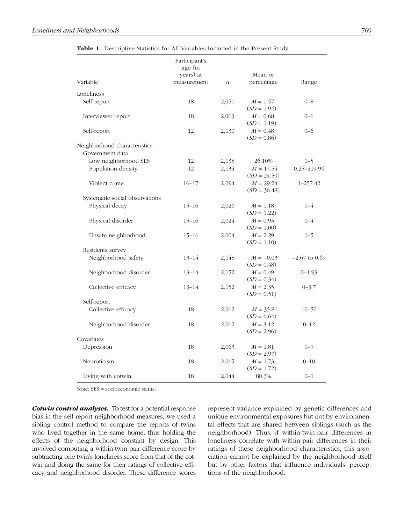| Variable                       | Participant's<br>age (in<br>years) at<br>measurement | $\boldsymbol{n}$ | Mean or<br>percentage         | Range           |
|--------------------------------|------------------------------------------------------|------------------|-------------------------------|-----------------|
| Loneliness                     |                                                      |                  |                               |                 |
| Self-report                    | 18                                                   | 2,051            | $M = 1.57$<br>$(SD = 1.94)$   | $0 - 8$         |
| Interviewer report             | 18                                                   | 2,063            | $M = 0.68$<br>$(SD = 1.19)$   | $0 - 6$         |
| Self-report                    | 12                                                   | 2,130            | $M = 0.48$<br>$SD = 0.86$     | $0 - 6$         |
| Neighborhood characteristics   |                                                      |                  |                               |                 |
| Government data                |                                                      |                  |                               |                 |
| Low neighborhood SES           | 12                                                   | 2,138            | 26.10%                        | $1 - 5$         |
| Population density             | 12                                                   | 2,134            | $M = 17.54$<br>$(SD = 24.50)$ | 0.25-219.94     |
| Violent crime                  | $16 - 17$                                            | 2,094            | $M = 29.24$<br>$(SD = 36.48)$ | 1-257.42        |
| Systematic social observations |                                                      |                  |                               |                 |
| Physical decay                 | $15 - 16$                                            | 2,026            | $M = 1.18$<br>$(SD = 1.22)$   | $0 - 4$         |
| Physical disorder              | $15 - 16$                                            | 2,024            | $M = 0.93$<br>$(SD = 1.00)$   | $0 - 4$         |
| Unsafe neighborhood            | $15 - 16$                                            | 2,004            | $M = 2.29$<br>$(SD = 1.10)$   | $1 - 5$         |
| Residents survey               |                                                      |                  |                               |                 |
| Neighborhood safety            | $13 - 14$                                            | 2,148            | $M = -0.03$<br>$(SD = 0.48)$  | $-2.67$ to 0.69 |
| Neighborhood disorder          | $13 - 14$                                            | 2,152            | $M = 0.49$<br>$(SD = 0.34)$   | $0 - 1.93$      |
| Collective efficacy            | $13 - 14$                                            | 2,152            | $M = 2.35$<br>$(SD = 0.51)$   | $0 - 3.7$       |
| Self-report                    |                                                      |                  |                               |                 |
| Collective efficacy            | 18                                                   | 2,062            | $M = 35.81$<br>$(SD = 6.64)$  | $10 - 50$       |
| Neighborhood disorder          | 18                                                   | 2,062            | $M = 3.12$<br>$SD = 2.96$     | $0 - 12$        |
| Covariates                     |                                                      |                  |                               |                 |
| Depression                     | 18                                                   | 2,063            | $M = 1.81$<br>$(SD = 2.97)$   | $0 - 9$         |
| Neuroticism                    | 18                                                   | 2,065            | $M = 1.73$<br>$SD = 1.72$     | $0 - 10$        |
| Living with cotwin             | 18                                                   | 2,044            | 80.3%                         | $0 - 1$         |

Table 1. Descriptive Statistics for All Variables Included in the Present Study

Note: SES = socioeconomic status.

*Cotwin control analyses.* To test for a potential response bias in the self-report neighborhood measures, we used a sibling control method to compare the reports of twins who lived together in the same home, thus holding the effects of the neighborhood constant by design. This involved computing a within-twin-pair difference score by subtracting one twin's loneliness score from that of the cotwin and doing the same for their ratings of collective efficacy and neighborhood disorder. These difference scores represent variance explained by genetic differences and unique environmental exposures but not by environmental effects that are shared between siblings (such as the neighborhood). Thus, if within-twin-pair differences in loneliness correlate with within-pair differences in their ratings of these neighborhood characteristics, this association cannot be explained by the neighborhood itself but by other factors that influence individuals' perceptions of the neighborhood.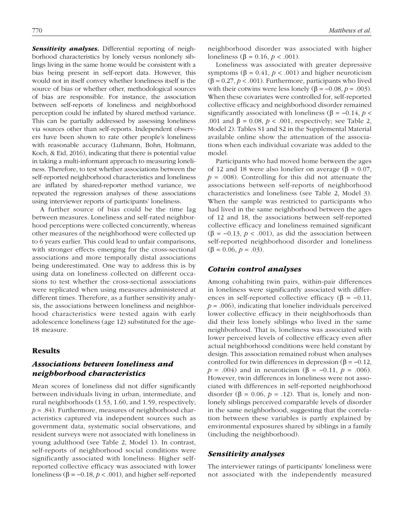**Sensitivity analyses.** Differential reporting of neighborhood characteristics by lonely versus nonlonely siblings living in the same home would be consistent with a bias being present in self-report data. However, this would not in itself convey whether loneliness itself is the source of bias or whether other, methodological sources of bias are responsible. For instance, the association between self-reports of loneliness and neighborhood perception could be inflated by shared method variance. This can be partially addressed by assessing loneliness via sources other than self-reports. Independent observers have been shown to rate other people's loneliness with reasonable accuracy (Luhmann, Bohn, Holtmann, Koch, & Eid, 2016), indicating that there is potential value in taking a multi-informant approach to measuring loneliness. Therefore, to test whether associations between the self-reported neighborhood characteristics and loneliness are inflated by shared-reporter method variance, we repeated the regression analyses of these associations using interviewer reports of participants' loneliness.

A further source of bias could be the time lag between measures. Loneliness and self-rated neighborhood perceptions were collected concurrently, whereas other measures of the neighborhood were collected up to 6 years earlier. This could lead to unfair comparisons, with stronger effects emerging for the cross-sectional associations and more temporally distal associations being underestimated. One way to address this is by using data on loneliness collected on different occasions to test whether the cross-sectional associations were replicated when using measures administered at different times. Therefore, as a further sensitivity analysis, the associations between loneliness and neighborhood characteristics were tested again with early adolescence loneliness (age 12) substituted for the age-18 measure.

# Results

# *Associations between loneliness and neighborhood characteristics*

Mean scores of loneliness did not differ significantly between individuals living in urban, intermediate, and rural neighborhoods (1.53, 1.60, and 1.59, respectively; *p* = .84). Furthermore, measures of neighborhood characteristics captured via independent sources such as government data, systematic social observations, and resident surveys were not associated with loneliness in young adulthood (see Table 2, Model 1). In contrast, self-reports of neighborhood social conditions were significantly associated with loneliness: Higher selfreported collective efficacy was associated with lower loneliness (β =  $-0.18$ , *p* < .001), and higher self-reported neighborhood disorder was associated with higher loneliness (β = 0.16, *p* < .001).

Loneliness was associated with greater depressive symptoms ( $β = 0.41, p < .001$ ) and higher neuroticism  $(\beta = 0.27, p < .001)$ . Furthermore, participants who lived with their cotwins were less lonely ( $\beta = -0.08$ ,  $p = .003$ ). When these covariates were controlled for, self-reported collective efficacy and neighborhood disorder remained significantly associated with loneliness ( $\beta$  = -0.14, *p* < .001 and  $β = 0.08$ ,  $p < .001$ , respectively; see Table 2, Model 2). Tables S1 and S2 in the Supplemental Material available online show the attenuation of the associations when each individual covariate was added to the model.

Participants who had moved home between the ages of 12 and 18 were also lonelier on average ( $\beta = 0.07$ ,  $p = .008$ ). Controlling for this did not attenuate the associations between self-reports of neighborhood characteristics and loneliness (see Table 2, Model 3). When the sample was restricted to participants who had lived in the same neighborhood between the ages of 12 and 18, the associations between self-reported collective efficacy and loneliness remained significant ( $\beta$  = -0.13, *p* < .001), as did the association between self-reported neighborhood disorder and loneliness  $(\beta = 0.06, p = .03)$ .

# *Cotwin control analyses*

Among cohabiting twin pairs, within-pair differences in loneliness were significantly associated with differences in self-reported collective efficacy ( $\beta$  = -0.11,  $p = .006$ ), indicating that lonelier individuals perceived lower collective efficacy in their neighborhoods than did their less lonely siblings who lived in the same neighborhood. That is, loneliness was associated with lower perceived levels of collective efficacy even after actual neighborhood conditions were held constant by design. This association remained robust when analyses controlled for twin differences in depression ( $β = -0.12$ , *p* = .004) and in neuroticism (β = -0.11, *p* = .006). However, twin differences in loneliness were not associated with differences in self-reported neighborhood disorder ( $\beta$  = 0.06,  $p$  = .12). That is, lonely and nonlonely siblings perceived comparable levels of disorder in the same neighborhood, suggesting that the correlation between these variables is partly explained by environmental exposures shared by siblings in a family (including the neighborhood).

# *Sensitivity analyses*

The interviewer ratings of participants' loneliness were not associated with the independently measured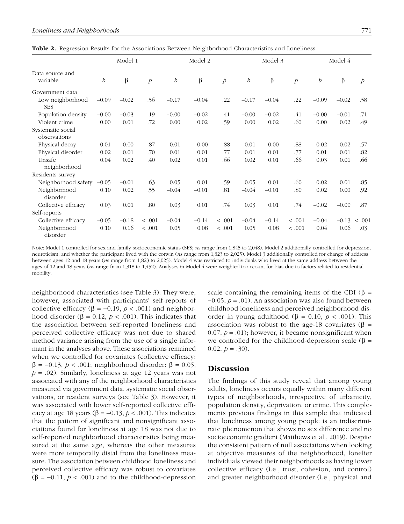|                                   |         | Model 1 |                  |                  | Model 2 |                  |         | Model 3 |                  |                  | Model 4 |               |
|-----------------------------------|---------|---------|------------------|------------------|---------|------------------|---------|---------|------------------|------------------|---------|---------------|
| Data source and<br>variable       | b       | β       | $\boldsymbol{p}$ | $\boldsymbol{b}$ | β       | $\boldsymbol{p}$ | b       | β       | $\boldsymbol{p}$ | $\boldsymbol{b}$ | β       | $\mathcal{P}$ |
| Government data                   |         |         |                  |                  |         |                  |         |         |                  |                  |         |               |
| Low neighborhood<br><b>SES</b>    | $-0.09$ | $-0.02$ | .56              | $-0.17$          | $-0.04$ | .22              | $-0.17$ | $-0.04$ | .22              | $-0.09$          | $-0.02$ | .58           |
| Population density                | $-0.00$ | $-0.03$ | .19              | $-0.00$          | $-0.02$ | .41              | $-0.00$ | $-0.02$ | .41              | $-0.00$          | $-0.01$ | .71           |
| Violent crime                     | 0.00    | 0.01    | .72              | 0.00             | 0.02    | .59              | 0.00    | 0.02    | .60              | 0.00             | 0.02    | .49           |
| Systematic social<br>observations |         |         |                  |                  |         |                  |         |         |                  |                  |         |               |
| Physical decay                    | 0.01    | 0.00    | .87              | 0.01             | 0.00    | .88              | 0.01    | 0.00    | .88              | 0.02             | 0.02    | .57           |
| Physical disorder                 | 0.02    | 0.01    | .70              | 0.01             | 0.01    | .77              | 0.01    | 0.01    | .77              | 0.01             | 0.01    | .82           |
| Unsafe<br>neighborhood            | 0.04    | 0.02    | .40              | 0.02             | 0.01    | .66              | 0.02    | 0.01    | .66              | 0.03             | 0.01    | .66           |
| Residents survey                  |         |         |                  |                  |         |                  |         |         |                  |                  |         |               |
| Neighborhood safety               | $-0.05$ | $-0.01$ | .63              | 0.05             | 0.01    | .59              | 0.05    | 0.01    | .60              | 0.02             | 0.01    | .85           |
| Neighborhood<br>disorder          | 0.10    | 0.02    | .55              | $-0.04$          | $-0.01$ | .81              | $-0.04$ | $-0.01$ | .80              | 0.02             | 0.00    | .92           |
| Collective efficacy               | 0.03    | 0.01    | .80              | 0.03             | 0.01    | .74              | 0.03    | 0.01    | .74              | $-0.02$          | $-0.00$ | .87           |
| Self-reports                      |         |         |                  |                  |         |                  |         |         |                  |                  |         |               |
| Collective efficacy               | $-0.05$ | $-0.18$ | < .001           | $-0.04$          | $-0.14$ | < .001           | $-0.04$ | $-0.14$ | < .001           | $-0.04$          | $-0.13$ | .001<br>$\,<$ |
| Neighborhood<br>disorder          | 0.10    | 0.16    | < .001           | 0.05             | 0.08    | < .001           | 0.05    | 0.08    | < .001           | 0.04             | 0.06    | .03           |

Table 2. Regression Results for the Associations Between Neighborhood Characteristics and Loneliness

Note: Model 1 controlled for sex and family socioeconomic status (SES; *n*s range from 1,845 to 2,048). Model 2 additionally controlled for depression, neuroticism, and whether the participant lived with the cotwin (*n*s range from 1,823 to 2,025). Model 3 additionally controlled for change of address between ages 12 and 18 years (*n*s range from 1,823 to 2,025). Model 4 was restricted to individuals who lived at the same address between the ages of 12 and 18 years (*n*s range from 1,318 to 1,452). Analyses in Model 4 were weighted to account for bias due to factors related to residential mobility.

neighborhood characteristics (see Table 3). They were, however, associated with participants' self-reports of collective efficacy ( $\beta$  = -0.19,  $p$  < .001) and neighborhood disorder ( $\beta$  = 0.12,  $p$  < .001). This indicates that the association between self-reported loneliness and perceived collective efficacy was not due to shared method variance arising from the use of a single informant in the analyses above. These associations remained when we controlled for covariates (collective efficacy: β = −0.13, *p* < .001; neighborhood disorder: β = 0.05,  $p = .02$ ). Similarly, loneliness at age 12 years was not associated with any of the neighborhood characteristics measured via government data, systematic social observations, or resident surveys (see Table 3). However, it was associated with lower self-reported collective efficacy at age 18 years ( $\beta$  = -0.13,  $p$  < .001). This indicates that the pattern of significant and nonsignificant associations found for loneliness at age 18 was not due to self-reported neighborhood characteristics being measured at the same age, whereas the other measures were more temporally distal from the loneliness measure. The association between childhood loneliness and perceived collective efficacy was robust to covariates  $(\beta = -0.11, p < .001)$  and to the childhood-depression scale containing the remaining items of the CDI ( $\beta$  = −0.05, *p* = .01). An association was also found between childhood loneliness and perceived neighborhood disorder in young adulthood (β = 0.10,  $p < .001$ ). This association was robust to the age-18 covariates (β = 0.07,  $p = .01$ ); however, it became nonsignificant when we controlled for the childhood-depression scale ( $\beta$  = 0.02,  $p = .30$ ).

# **Discussion**

The findings of this study reveal that among young adults, loneliness occurs equally within many different types of neighborhoods, irrespective of urbanicity, population density, deprivation, or crime. This complements previous findings in this sample that indicated that loneliness among young people is an indiscriminate phenomenon that shows no sex difference and no socioeconomic gradient (Matthews et al., 2019). Despite the consistent pattern of null associations when looking at objective measures of the neighborhood, lonelier individuals viewed their neighborhoods as having lower collective efficacy (i.e., trust, cohesion, and control) and greater neighborhood disorder (i.e., physical and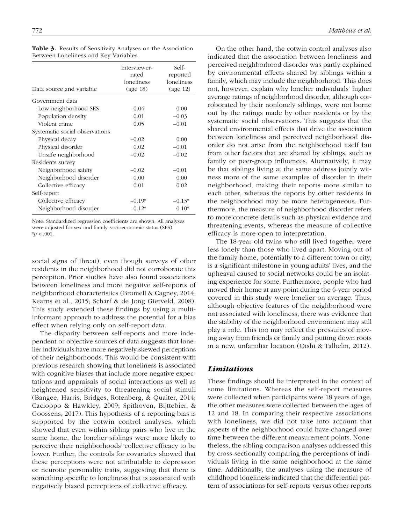| Data source and variable       | Interviewer-<br>rated<br>loneliness<br>(age 18) | Self-<br>reported<br>loneliness<br>(age 12) |
|--------------------------------|-------------------------------------------------|---------------------------------------------|
| Government data                |                                                 |                                             |
| Low neighborhood SES           | 0.04                                            | 0.00                                        |
| Population density             | 0.01                                            | $-0.03$                                     |
| Violent crime                  | 0.05                                            | $-0.01$                                     |
| Systematic social observations |                                                 |                                             |
| Physical decay                 | $-0.02$                                         | 0.00                                        |
| Physical disorder              | 0.02                                            | $-0.01$                                     |
| Unsafe neighborhood            | $-0.02$                                         | $-0.02$                                     |
| Residents survey               |                                                 |                                             |
| Neighborhood safety            | $-0.02$                                         | $-0.01$                                     |
| Neighborhood disorder          | 0.00                                            | 0.00                                        |
| Collective efficacy            | 0.01                                            | 0.02                                        |
| Self-report                    |                                                 |                                             |
| Collective efficacy            | $-0.19*$                                        | $-0.13*$                                    |
| Neighborhood disorder          | $0.12*$                                         | $0.10*$                                     |

Table 3. Results of Sensitivity Analyses on the Association Between Loneliness and Key Variables

Note: Standardized regression coefficients are shown. All analyses were adjusted for sex and family socioeconomic status (SES). \**p* < .001.

social signs of threat), even though surveys of other residents in the neighborhood did not corroborate this perception. Prior studies have also found associations between loneliness and more negative self-reports of neighborhood characteristics (Bromell & Cagney, 2014; Kearns et al., 2015; Scharf & de Jong Gierveld, 2008). This study extended these findings by using a multiinformant approach to address the potential for a bias effect when relying only on self-report data.

The disparity between self-reports and more independent or objective sources of data suggests that lonelier individuals have more negatively skewed perceptions of their neighborhoods. This would be consistent with previous research showing that loneliness is associated with cognitive biases that include more negative expectations and appraisals of social interactions as well as heightened sensitivity to threatening social stimuli (Bangee, Harris, Bridges, Rotenberg, & Qualter, 2014; Cacioppo & Hawkley, 2009; Spithoven, Bijttebier, & Goossens, 2017). This hypothesis of a reporting bias is supported by the cotwin control analyses, which showed that even within sibling pairs who live in the same home, the lonelier siblings were more likely to perceive their neighborhoods' collective efficacy to be lower. Further, the controls for covariates showed that these perceptions were not attributable to depression or neurotic personality traits, suggesting that there is something specific to loneliness that is associated with negatively biased perceptions of collective efficacy.

On the other hand, the cotwin control analyses also indicated that the association between loneliness and perceived neighborhood disorder was partly explained by environmental effects shared by siblings within a family, which may include the neighborhood. This does not, however, explain why lonelier individuals' higher average ratings of neighborhood disorder, although corroborated by their nonlonely siblings, were not borne out by the ratings made by other residents or by the systematic social observations. This suggests that the shared environmental effects that drive the association between loneliness and perceived neighborhood disorder do not arise from the neighborhood itself but from other factors that are shared by siblings, such as family or peer-group influences. Alternatively, it may be that siblings living at the same address jointly witness more of the same examples of disorder in their neighborhood, making their reports more similar to each other, whereas the reports by other residents in the neighborhood may be more heterogeneous. Furthermore, the measure of neighborhood disorder refers to more concrete details such as physical evidence and threatening events, whereas the measure of collective efficacy is more open to interpretation.

The 18-year-old twins who still lived together were less lonely than those who lived apart. Moving out of the family home, potentially to a different town or city, is a significant milestone in young adults' lives, and the upheaval caused to social networks could be an isolating experience for some. Furthermore, people who had moved their home at any point during the 6-year period covered in this study were lonelier on average. Thus, although objective features of the neighborhood were not associated with loneliness, there was evidence that the stability of the neighborhood environment may still play a role. This too may reflect the pressures of moving away from friends or family and putting down roots in a new, unfamiliar location (Oishi & Talhelm, 2012).

# *Limitations*

These findings should be interpreted in the context of some limitations. Whereas the self-report measures were collected when participants were 18 years of age, the other measures were collected between the ages of 12 and 18. In comparing their respective associations with loneliness, we did not take into account that aspects of the neighborhood could have changed over time between the different measurement points. Nonetheless, the sibling comparison analyses addressed this by cross-sectionally comparing the perceptions of individuals living in the same neighborhood at the same time. Additionally, the analyses using the measure of childhood loneliness indicated that the differential pattern of associations for self-reports versus other reports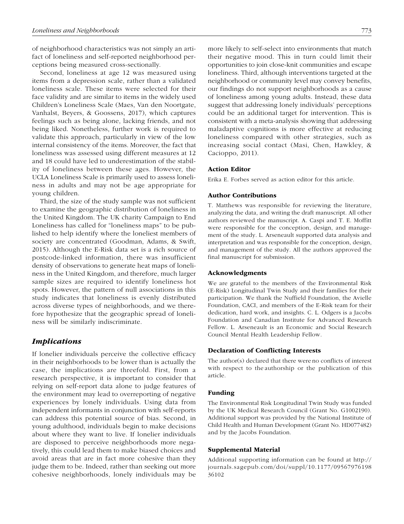of neighborhood characteristics was not simply an artifact of loneliness and self-reported neighborhood perceptions being measured cross-sectionally.

Second, loneliness at age 12 was measured using items from a depression scale, rather than a validated loneliness scale. These items were selected for their face validity and are similar to items in the widely used Children's Loneliness Scale (Maes, Van den Noortgate, Vanhalst, Beyers, & Goossens, 2017), which captures feelings such as being alone, lacking friends, and not being liked. Nonetheless, further work is required to validate this approach, particularly in view of the low internal consistency of the items. Moreover, the fact that loneliness was assessed using different measures at 12 and 18 could have led to underestimation of the stability of loneliness between these ages. However, the UCLA Loneliness Scale is primarily used to assess loneliness in adults and may not be age appropriate for young children.

Third, the size of the study sample was not sufficient to examine the geographic distribution of loneliness in the United Kingdom. The UK charity Campaign to End Loneliness has called for "loneliness maps" to be published to help identify where the loneliest members of society are concentrated (Goodman, Adams, & Swift, 2015). Although the E-Risk data set is a rich source of postcode-linked information, there was insufficient density of observations to generate heat maps of loneliness in the United Kingdom, and therefore, much larger sample sizes are required to identify loneliness hot spots. However, the pattern of null associations in this study indicates that loneliness is evenly distributed across diverse types of neighborhoods, and we therefore hypothesize that the geographic spread of loneliness will be similarly indiscriminate.

# *Implications*

If lonelier individuals perceive the collective efficacy in their neighborhoods to be lower than is actually the case, the implications are threefold. First, from a research perspective, it is important to consider that relying on self-report data alone to judge features of the environment may lead to overreporting of negative experiences by lonely individuals. Using data from independent informants in conjunction with self-reports can address this potential source of bias. Second, in young adulthood, individuals begin to make decisions about where they want to live. If lonelier individuals are disposed to perceive neighborhoods more negatively, this could lead them to make biased choices and avoid areas that are in fact more cohesive than they judge them to be. Indeed, rather than seeking out more cohesive neighborhoods, lonely individuals may be more likely to self-select into environments that match their negative mood. This in turn could limit their opportunities to join close-knit communities and escape loneliness. Third, although interventions targeted at the neighborhood or community level may convey benefits, our findings do not support neighborhoods as a cause of loneliness among young adults. Instead, these data suggest that addressing lonely individuals' perceptions could be an additional target for intervention. This is consistent with a meta-analysis showing that addressing maladaptive cognitions is more effective at reducing loneliness compared with other strategies, such as increasing social contact (Masi, Chen, Hawkley, & Cacioppo, 2011).

#### Action Editor

Erika E. Forbes served as action editor for this article.

#### Author Contributions

T. Matthews was responsible for reviewing the literature, analyzing the data, and writing the draft manuscript. All other authors reviewed the manuscript. A. Caspi and T. E. Moffitt were responsible for the conception, design, and management of the study. L. Arseneault supported data analysis and interpretation and was responsible for the conception, design, and management of the study. All the authors approved the final manuscript for submission.

#### Acknowledgments

We are grateful to the members of the Environmental Risk (E-Risk) Longitudinal Twin Study and their families for their participation. We thank the Nuffield Foundation, the Avielle Foundation, CACI, and members of the E-Risk team for their dedication, hard work, and insights. C. L. Odgers is a Jacobs Foundation and Canadian Institute for Advanced Research Fellow. L. Arseneault is an Economic and Social Research Council Mental Health Leadership Fellow.

#### Declaration of Conflicting Interests

The author(s) declared that there were no conflicts of interest with respect to the authorship or the publication of this article.

#### Funding

The Environmental Risk Longitudinal Twin Study was funded by the UK Medical Research Council (Grant No. G1002190). Additional support was provided by the National Institute of Child Health and Human Development (Grant No. HD077482) and by the Jacobs Foundation.

#### Supplemental Material

Additional supporting information can be found at [http://](http://journals.sagepub.com/doi/suppl/10.1177/0956797619836102) [journals.sagepub.com/doi/suppl/10.1177/09567976198](http://journals.sagepub.com/doi/suppl/10.1177/0956797619836102) [36102](http://journals.sagepub.com/doi/suppl/10.1177/0956797619836102)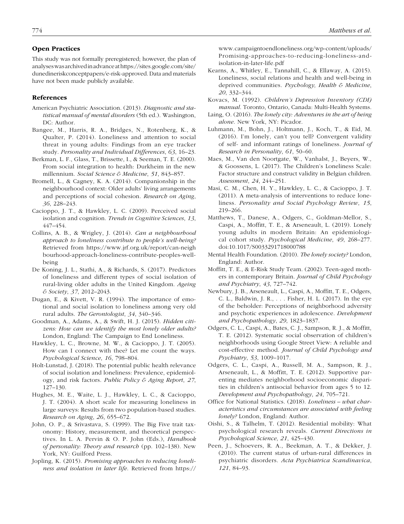#### Open Practices

This study was not formally preregistered; however, the plan of analyses was archived in advance at [https://sites.google.com/site/](https://sites.google.com/site/dunedineriskconceptpapers/e-risk-approved) [dunedineriskconceptpapers/e-risk-approved](https://sites.google.com/site/dunedineriskconceptpapers/e-risk-approved). Data and materials have not been made publicly available.

### References

- American Psychiatric Association. (2013). *Diagnostic and statistical manual of mental disorders* (5th ed.). Washington, DC: Author.
- Bangee, M., Harris, R. A., Bridges, N., Rotenberg, K., & Qualter, P. (2014). Loneliness and attention to social threat in young adults: Findings from an eye tracker study. *Personality and Individual Differences*, *63*, 16–23.
- Berkman, L. F., Glass, T., Brissette, I., & Seeman, T. E. (2000). From social integration to health: Durkheim in the new millennium. *Social Science & Medicine*, *51*, 843–857.
- Bromell, L., & Cagney, K. A. (2014). Companionship in the neighbourhood context: Older adults' living arrangements and perceptions of social cohesion. *Research on Aging*, *36*, 228–243.
- Cacioppo, J. T., & Hawkley, L. C. (2009). Perceived social isolation and cognition. *Trends in Cognitive Sciences*, *13*, 447–454.
- Collins, A. B., & Wrigley, J. (2014). *Can a neighbourhood approach to loneliness contribute to people's well-being?* Retrieved from [https://www.jrf.org.uk/report/can-neigh](https://www.jrf.org.uk/report/can-neighbourhood-approach-loneliness-contribute-peoples-well-being) bourhood-approach-loneliness-contribute-peoples-wellbeing
- De Koning, J. L., Stathi, A., & Richards, S. (2017). Predictors of loneliness and different types of social isolation of rural-living older adults in the United Kingdom. *Ageing & Society*, *37*, 2012–2043.
- Dugan, E., & Kivett, V. R. (1994). The importance of emotional and social isolation to loneliness among very old rural adults. *The Gerontologist*, *34*, 340–346.
- Goodman, A., Adams, A., & Swift, H. J. (2015). *Hidden citizens: How can we identify the most lonely older adults?* London, England: The Campaign to End Loneliness.
- Hawkley, L. C., Browne, M. W., & Cacioppo, J. T. (2005). How can I connect with thee? Let me count the ways. *Psychological Science*, *16*, 798–804.
- Holt-Lunstad, J. (2018). The potential public health relevance of social isolation and loneliness: Prevalence, epidemiology, and risk factors. *Public Policy & Aging Report*, *27*, 127–130.
- Hughes, M. E., Waite, L. J., Hawkley, L. C., & Cacioppo, J. T. (2004). A short scale for measuring loneliness in large surveys: Results from two population-based studies. *Research on Aging*, *26*, 655–672.
- John, O. P., & Srivastava, S. (1999). The Big Five trait taxonomy: History, measurement, and theoretical perspectives. In L. A. Pervin & O. P. John (Eds.), *Handbook of personality: Theory and research* (pp. 102–138). New York, NY: Guilford Press.
- Jopling, K. (2015). *Promising approaches to reducing loneliness and isolation in later life*. Retrieved from [https://](https://www.campaigntoendloneliness.org/wp-content/uploads/Promising-approaches-to-reducing-loneliness-and-isolation-in-later-life.pdf)

[www.campaigntoendloneliness.org/wp-content/uploads/](https://www.campaigntoendloneliness.org/wp-content/uploads/Promising-approaches-to-reducing-loneliness-and-isolation-in-later-life.pdf) [Promising-approaches-to-reducing-loneliness-and](https://www.campaigntoendloneliness.org/wp-content/uploads/Promising-approaches-to-reducing-loneliness-and-isolation-in-later-life.pdf)[isolation-in-later-life.pdf](https://www.campaigntoendloneliness.org/wp-content/uploads/Promising-approaches-to-reducing-loneliness-and-isolation-in-later-life.pdf)

- Kearns, A., Whitley, E., Tannahill, C., & Ellaway, A. (2015). Loneliness, social relations and health and well-being in deprived communities. *Psychology, Health & Medicine*, *20*, 332–344.
- Kovacs, M. (1992). *Children's Depression Inventory (CDI) manual*. Toronto, Ontario, Canada: Multi-Health Systems.
- Laing, O. (2016). *The lonely city: Adventures in the art of being alone*. New York, NY: Picador.
- Luhmann, M., Bohn, J., Holtmann, J., Koch, T., & Eid, M. (2016). I'm lonely, can't you tell? Convergent validity of self- and informant ratings of loneliness. *Journal of Research in Personality*, *61*, 50–60.
- Maes, M., Van den Noortgate, W., Vanhalst, J., Beyers, W., & Goossens, L. (2017). The Children's Loneliness Scale: Factor structure and construct validity in Belgian children. *Assessment*, *24*, 244–251.
- Masi, C. M., Chen, H. Y., Hawkley, L. C., & Cacioppo, J. T. (2011). A meta-analysis of interventions to reduce loneliness. *Personality and Social Psychology Review*, *15*, 219–266.
- Matthews, T., Danese, A., Odgers, C., Goldman-Mellor, S., Caspi, A., Moffitt, T. E., & Arseneault, L. (2019). Lonely young adults in modern Britain: An epidemiological cohort study. *Psychological Medicine*, *49*, 268–277. doi:10.1017/S0033291718000788
- Mental Health Foundation. (2010). *The lonely society?* London, England: Author.
- Moffitt, T. E., & E-Risk Study Team. (2002). Teen-aged mothers in contemporary Britain. *Journal of Child Psychology and Psychiatry*, *43*, 727–742.
- Newbury, J. B., Arseneault, L., Caspi, A., Moffitt, T. E., Odgers, C. L., Baldwin, J. R., . . . Fisher, H. L. (2017). In the eye of the beholder: Perceptions of neighborhood adversity and psychotic experiences in adolescence. *Development and Psychopathology*, *29*, 1823–1837.
- Odgers, C. L., Caspi, A., Bates, C. J., Sampson, R. J., & Moffitt, T. E. (2012). Systematic social observation of children's neighborhoods using Google Street View: A reliable and cost-effective method. *Journal of Child Psychology and Psychiatry*, *53*, 1009–1017.
- Odgers, C. L., Caspi, A., Russell, M. A., Sampson, R. J., Arseneault, L., & Moffitt, T. E. (2012). Supportive parenting mediates neighborhood socioeconomic disparities in children's antisocial behavior from ages 5 to 12. *Development and Psychopathology*, *24*, 705–721.
- Office for National Statistics. (2018). *Loneliness what characteristics and circumstances are associated with feeling lonely?* London, England: Author.
- Oishi, S., & Talhelm, T. (2012). Residential mobility: What psychological research reveals. *Current Directions in Psychological Science*, *21*, 425–430.
- Peen, J., Schoevers, R. A., Beekman, A. T., & Dekker, J. (2010). The current status of urban-rural differences in psychiatric disorders. *Acta Psychiatrica Scandinavica*, *121*, 84–93.